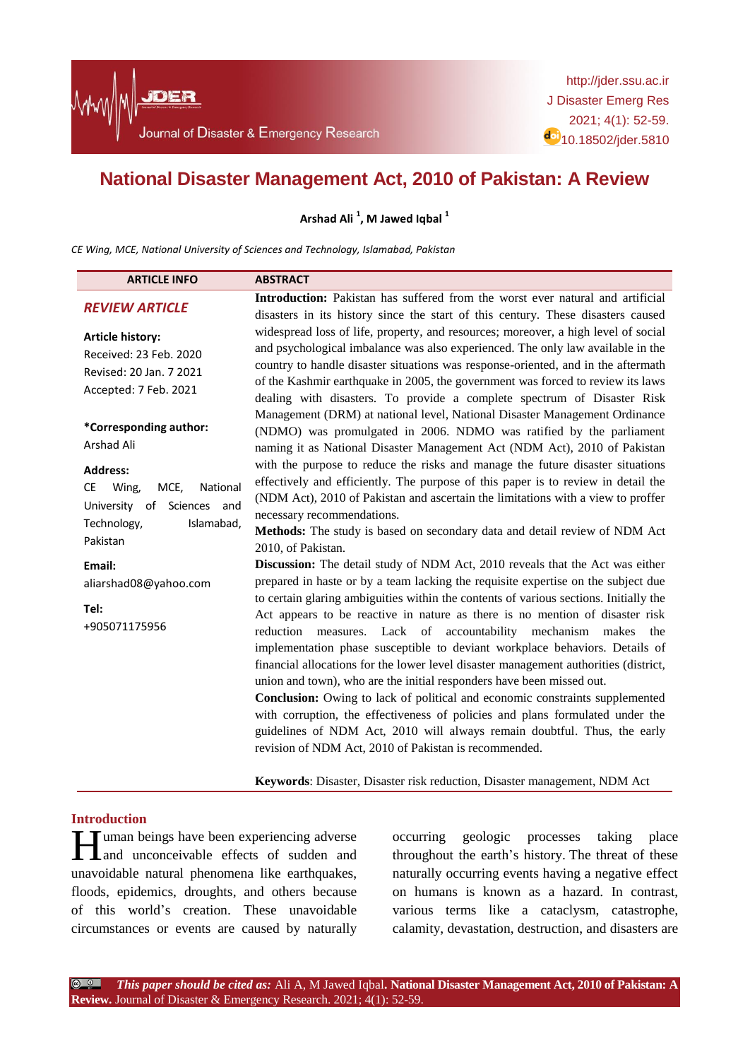# **National Disaster Management Act, 2010 of Pakistan: A Review**

**Arshad Ali <sup>1</sup> , M Jawed Iqbal <sup>1</sup>**

*CE Wing, MCE, National University of Sciences and Technology, Islamabad, Pakistan*

| <b>ARTICLE INFO</b>                                                                                                                 | <b>ABSTRACT</b>                                                                                                                                                                                                                                                                                                                                                                                                                                                                                                                                                                                                                                                                                                      |  |
|-------------------------------------------------------------------------------------------------------------------------------------|----------------------------------------------------------------------------------------------------------------------------------------------------------------------------------------------------------------------------------------------------------------------------------------------------------------------------------------------------------------------------------------------------------------------------------------------------------------------------------------------------------------------------------------------------------------------------------------------------------------------------------------------------------------------------------------------------------------------|--|
| <b>REVIEW ARTICLE</b>                                                                                                               | <b>Introduction:</b> Pakistan has suffered from the worst ever natural and artificial<br>disasters in its history since the start of this century. These disasters caused                                                                                                                                                                                                                                                                                                                                                                                                                                                                                                                                            |  |
| <b>Article history:</b><br>Received: 23 Feb. 2020<br>Revised: 20 Jan. 7 2021<br>Accepted: 7 Feb. 2021                               | widespread loss of life, property, and resources; moreover, a high level of social<br>and psychological imbalance was also experienced. The only law available in the<br>country to handle disaster situations was response-oriented, and in the aftermath<br>of the Kashmir earthquake in 2005, the government was forced to review its laws<br>dealing with disasters. To provide a complete spectrum of Disaster Risk                                                                                                                                                                                                                                                                                             |  |
| *Corresponding author:<br>Arshad Ali                                                                                                | Management (DRM) at national level, National Disaster Management Ordinance<br>(NDMO) was promulgated in 2006. NDMO was ratified by the parliament<br>naming it as National Disaster Management Act (NDM Act), 2010 of Pakistan                                                                                                                                                                                                                                                                                                                                                                                                                                                                                       |  |
| <b>Address:</b><br>Wing,<br>MCE.<br>National<br><b>CE</b><br>University of<br>Sciences and<br>Technology,<br>Islamabad,<br>Pakistan | with the purpose to reduce the risks and manage the future disaster situations<br>effectively and efficiently. The purpose of this paper is to review in detail the<br>(NDM Act), 2010 of Pakistan and ascertain the limitations with a view to proffer<br>necessary recommendations.<br>Methods: The study is based on secondary data and detail review of NDM Act<br>2010, of Pakistan.                                                                                                                                                                                                                                                                                                                            |  |
| Email:                                                                                                                              | Discussion: The detail study of NDM Act, 2010 reveals that the Act was either                                                                                                                                                                                                                                                                                                                                                                                                                                                                                                                                                                                                                                        |  |
| aliarshad08@yahoo.com                                                                                                               | prepared in haste or by a team lacking the requisite expertise on the subject due<br>to certain glaring ambiguities within the contents of various sections. Initially the                                                                                                                                                                                                                                                                                                                                                                                                                                                                                                                                           |  |
| Tel:<br>+905071175956                                                                                                               | Act appears to be reactive in nature as there is no mention of disaster risk<br>reduction<br>measures. Lack of accountability mechanism<br>makes<br>the<br>implementation phase susceptible to deviant workplace behaviors. Details of<br>financial allocations for the lower level disaster management authorities (district,<br>union and town), who are the initial responders have been missed out.<br><b>Conclusion:</b> Owing to lack of political and economic constraints supplemented<br>with corruption, the effectiveness of policies and plans formulated under the<br>guidelines of NDM Act, 2010 will always remain doubtful. Thus, the early<br>revision of NDM Act, 2010 of Pakistan is recommended. |  |
|                                                                                                                                     | Keywords: Disaster, Disaster risk reduction, Disaster management, NDM Act                                                                                                                                                                                                                                                                                                                                                                                                                                                                                                                                                                                                                                            |  |

## **Introduction**

**H**uman beings have been experiencing adverse<br>and unconceivable effects of sudden and and unconceivable effects of sudden and unavoidable natural phenomena like earthquakes, floods, epidemics, droughts, and others because of this world"s creation. These unavoidable circumstances or events are caused by naturally

occurring geologic processes taking place throughout the earth"s history. The threat of these naturally occurring events having a negative effect on humans is known as a hazard. In contrast, various terms like a cataclysm, catastrophe, calamity, devastation, destruction, and disasters are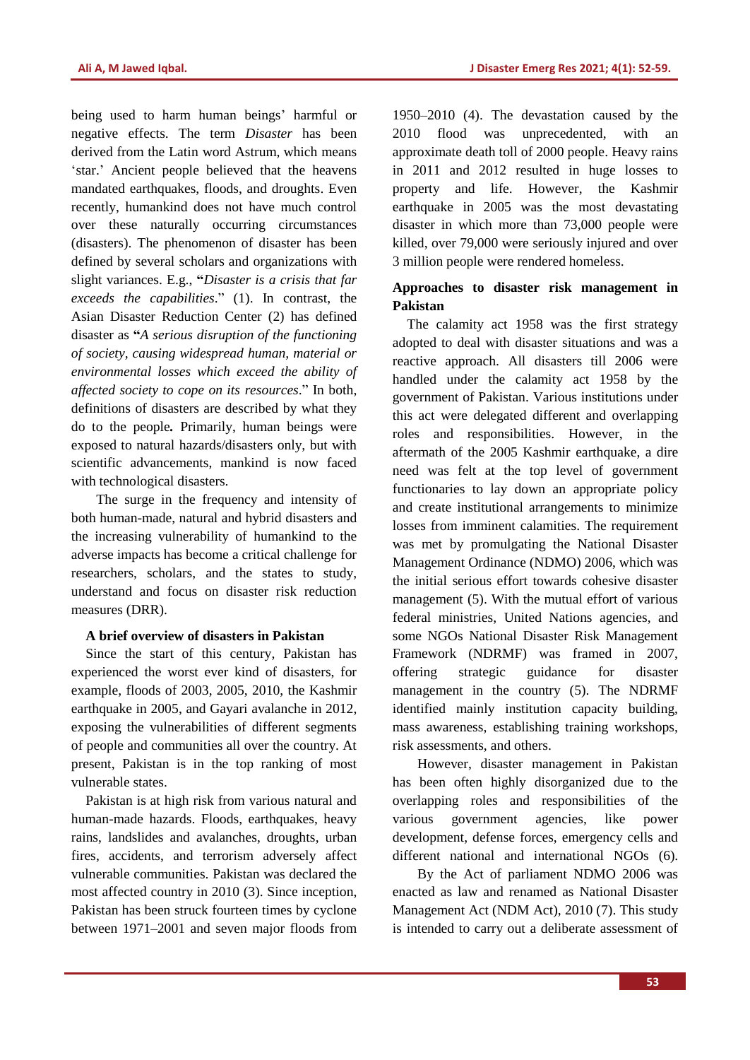being used to harm human beings' harmful or negative effects. The term *Disaster* has been derived from the Latin word Astrum*,* which means 'star.' Ancient people believed that the heavens mandated earthquakes, floods, and droughts. Even recently, humankind does not have much control over these naturally occurring circumstances (disasters). The phenomenon of disaster has been defined by several scholars and organizations with slight variances. E.g., **"***Disaster is a crisis that far exceeds the capabilities*." [\(1\)](#page-6-0). In contrast, the Asian Disaster Reduction Center [\(2\)](#page-7-0) has defined disaster as **"***A serious disruption of the functioning of society, causing widespread human, material or environmental losses which exceed the ability of affected society to cope on its resources*." In both, definitions of disasters are described by what they do to the people*.* Primarily, human beings were exposed to natural hazards/disasters only, but with scientific advancements, mankind is now faced with technological disasters.

The surge in the frequency and intensity of both human-made, natural and hybrid disasters and the increasing vulnerability of humankind to the adverse impacts has become a critical challenge for researchers, scholars, and the states to study, understand and focus on disaster risk reduction measures (DRR).

#### **A brief overview of disasters in Pakistan**

Since the start of this century, Pakistan has experienced the worst ever kind of disasters, for example, floods of 2003, 2005, 2010, the Kashmir earthquake in 2005, and Gayari avalanche in 2012, exposing the vulnerabilities of different segments of people and communities all over the country. At present, Pakistan is in the top ranking of most vulnerable states.

Pakistan is at high risk from various natural and human-made hazards. Floods, earthquakes, heavy rains, landslides and avalanches, droughts, urban fires, accidents, and terrorism adversely affect vulnerable communities. Pakistan was declared the most affected country in 2010 [\(3\)](#page-7-1). Since inception, Pakistan has been struck fourteen times by cyclone between 1971–2001 and seven major floods from 1950–2010 [\(4\)](#page-7-2). The devastation caused by the 2010 flood was unprecedented, with an approximate death toll of 2000 people. Heavy rains in 2011 and 2012 resulted in huge losses to property and life. However, the Kashmir earthquake in 2005 was the most devastating disaster in which more than 73,000 people were killed, over 79,000 were seriously injured and over 3 million people were rendered homeless.

# **Approaches to disaster risk management in Pakistan**

The calamity act 1958 was the first strategy adopted to deal with disaster situations and was a reactive approach. All disasters till 2006 were handled under the calamity act 1958 by the government of Pakistan. Various institutions under this act were delegated different and overlapping roles and responsibilities. However, in the aftermath of the 2005 Kashmir earthquake, a dire need was felt at the top level of government functionaries to lay down an appropriate policy and create institutional arrangements to minimize losses from imminent calamities. The requirement was met by promulgating the National Disaster Management Ordinance (NDMO) 2006, which was the initial serious effort towards cohesive disaster management [\(5\)](#page-7-3). With the mutual effort of various federal ministries, United Nations agencies, and some NGOs National Disaster Risk Management Framework (NDRMF) was framed in 2007, offering strategic guidance for disaster management in the country [\(5\)](#page-7-3). The NDRMF identified mainly institution capacity building, mass awareness, establishing training workshops, risk assessments, and others.

However, disaster management in Pakistan has been often highly disorganized due to the overlapping roles and responsibilities of the various government agencies, like power development, defense forces, emergency cells and different national and international NGOs [\(6\)](#page-7-4).

By the Act of parliament NDMO 2006 was enacted as law and renamed as National Disaster Management Act (NDM Act), 2010 (7). This study is intended to carry out a deliberate assessment of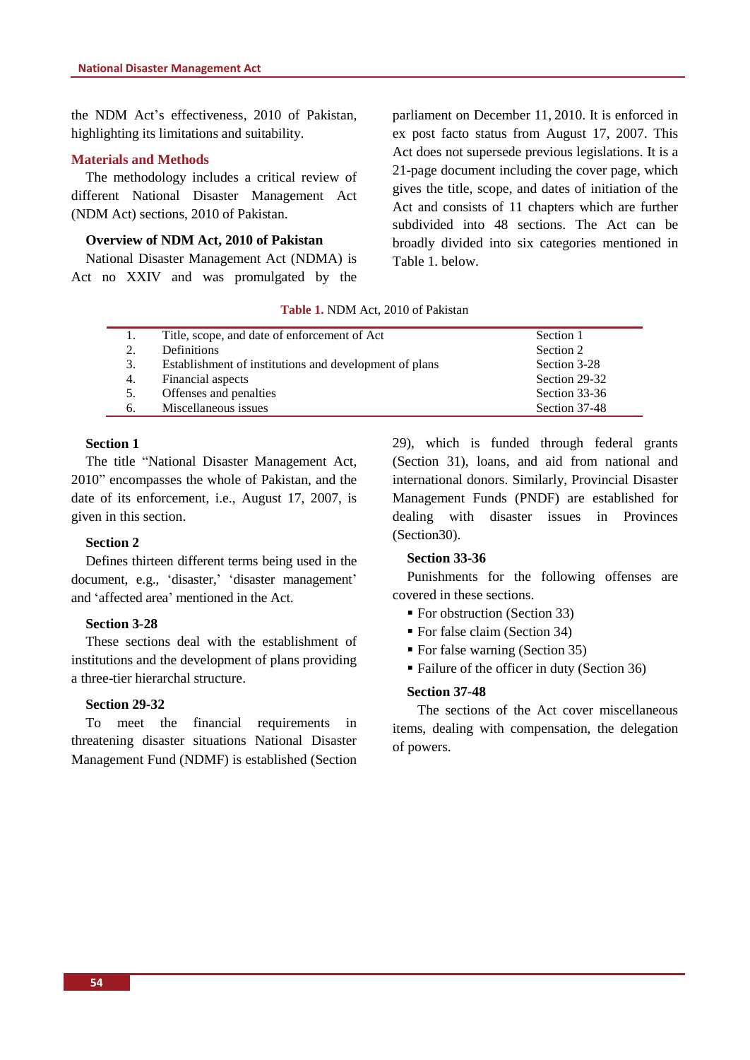the NDM Act"s effectiveness, 2010 of Pakistan, highlighting its limitations and suitability.

## **Materials and Methods**

The methodology includes a critical review of different National Disaster Management Act (NDM Act) sections, 2010 of Pakistan.

# **Overview of NDM Act, 2010 of Pakistan**

National Disaster Management Act (NDMA) is Act no XXIV and was promulgated by the parliament on December 11, 2010. It is enforced in ex post facto status from August 17, 2007. This Act does not supersede previous legislations. It is a 21-page document including the cover page, which gives the title, scope, and dates of initiation of the Act and consists of 11 chapters which are further subdivided into 48 sections. The Act can be broadly divided into six categories mentioned in Table 1. below.

#### **Table 1.** NDM Act, 2010 of Pakistan

|    | Title, scope, and date of enforcement of Act           | Section 1     |
|----|--------------------------------------------------------|---------------|
| 2. | <b>Definitions</b>                                     | Section 2     |
| 3. | Establishment of institutions and development of plans | Section 3-28  |
| 4. | Financial aspects                                      | Section 29-32 |
| 5. | Offenses and penalties                                 | Section 33-36 |
| 6. | Miscellaneous issues                                   | Section 37-48 |

# **Section 1**

The title "National Disaster Management Act, 2010" encompasses the whole of Pakistan, and the date of its enforcement, i.e., August 17, 2007, is given in this section.

#### **Section 2**

Defines thirteen different terms being used in the document, e.g., 'disaster,' 'disaster management' and "affected area" mentioned in the Act.

#### **Section 3-28**

These sections deal with the establishment of institutions and the development of plans providing a three-tier hierarchal structure.

## **Section 29-32**

To meet the financial requirements in threatening disaster situations National Disaster Management Fund (NDMF) is established (Section 29), which is funded through federal grants (Section 31), loans, and aid from national and international donors. Similarly, Provincial Disaster Management Funds (PNDF) are established for dealing with disaster issues in Provinces (Section30).

#### **Section 33-36**

Punishments for the following offenses are covered in these sections.

- For obstruction (Section 33)
- For false claim (Section 34)
- For false warning (Section 35)
- Failure of the officer in duty (Section 36)

#### **Section 37-48**

The sections of the Act cover miscellaneous items, dealing with compensation, the delegation of powers.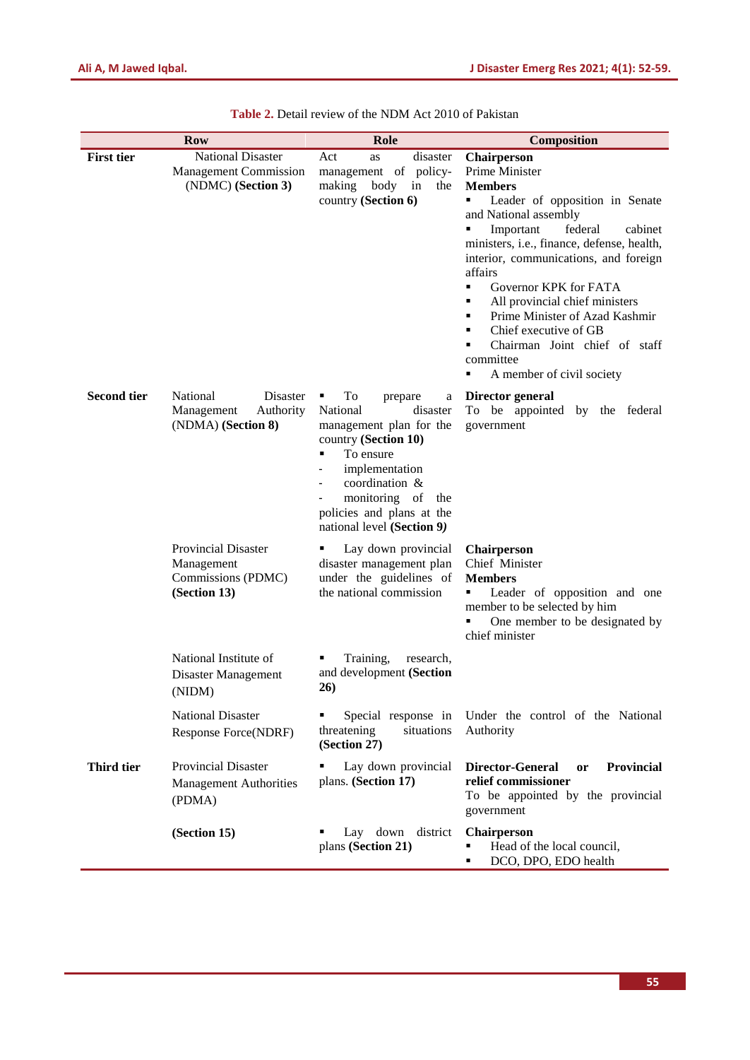| <b>Row</b>         |                                                                                | Role                                                                                                                                                                                                                                   | Composition                                                                                                                                                                                                                                                                                                                                                                                                                                                                              |
|--------------------|--------------------------------------------------------------------------------|----------------------------------------------------------------------------------------------------------------------------------------------------------------------------------------------------------------------------------------|------------------------------------------------------------------------------------------------------------------------------------------------------------------------------------------------------------------------------------------------------------------------------------------------------------------------------------------------------------------------------------------------------------------------------------------------------------------------------------------|
| <b>First tier</b>  | <b>National Disaster</b><br><b>Management Commission</b><br>(NDMC) (Section 3) | Act<br>disaster<br>as<br>management of policy-<br>making body<br>in<br>the<br>country (Section 6)                                                                                                                                      | Chairperson<br>Prime Minister<br><b>Members</b><br>Leader of opposition in Senate<br>٠<br>and National assembly<br>Important<br>federal<br>cabinet<br>٠<br>ministers, i.e., finance, defense, health,<br>interior, communications, and foreign<br>affairs<br>Governor KPK for FATA<br>٠<br>All provincial chief ministers<br>٠<br>Prime Minister of Azad Kashmir<br>٠<br>Chief executive of GB<br>٠<br>Chairman Joint chief of staff<br>٠<br>committee<br>A member of civil society<br>٠ |
| <b>Second tier</b> | National<br>Disaster<br>Management<br>Authority<br>(NDMA) (Section 8)          | To<br>prepare<br>a<br>National<br>disaster<br>management plan for the<br>country (Section 10)<br>To ensure<br>٠<br>implementation<br>coordination &<br>monitoring of<br>the<br>policies and plans at the<br>national level (Section 9) | Director general<br>To be appointed by the federal<br>government                                                                                                                                                                                                                                                                                                                                                                                                                         |
|                    | <b>Provincial Disaster</b><br>Management<br>Commissions (PDMC)<br>(Section 13) | Lay down provincial<br>disaster management plan<br>under the guidelines of<br>the national commission                                                                                                                                  | <b>Chairperson</b><br>Chief Minister<br><b>Members</b><br>Leader of opposition and one<br>٠<br>member to be selected by him<br>One member to be designated by<br>chief minister                                                                                                                                                                                                                                                                                                          |
|                    | National Institute of<br>Disaster Management<br>(NIDM)                         | Training,<br>research,<br>and development (Section<br>26)                                                                                                                                                                              |                                                                                                                                                                                                                                                                                                                                                                                                                                                                                          |
|                    | <b>National Disaster</b><br>Response Force(NDRF)                               | Special response in<br>threatening<br>situations<br>(Section 27)                                                                                                                                                                       | Under the control of the National<br>Authority                                                                                                                                                                                                                                                                                                                                                                                                                                           |
| Third tier         | <b>Provincial Disaster</b><br><b>Management Authorities</b><br>(PDMA)          | Lay down provincial<br>plans. (Section 17)                                                                                                                                                                                             | <b>Director-General</b><br>Provincial<br><b>or</b><br>relief commissioner<br>To be appointed by the provincial<br>government                                                                                                                                                                                                                                                                                                                                                             |
|                    | (Section 15)                                                                   | Lay down district<br>plans (Section 21)                                                                                                                                                                                                | Chairperson<br>Head of the local council,<br>DCO, DPO, EDO health                                                                                                                                                                                                                                                                                                                                                                                                                        |

**Table 2.** Detail review of the NDM Act 2010 of Pakistan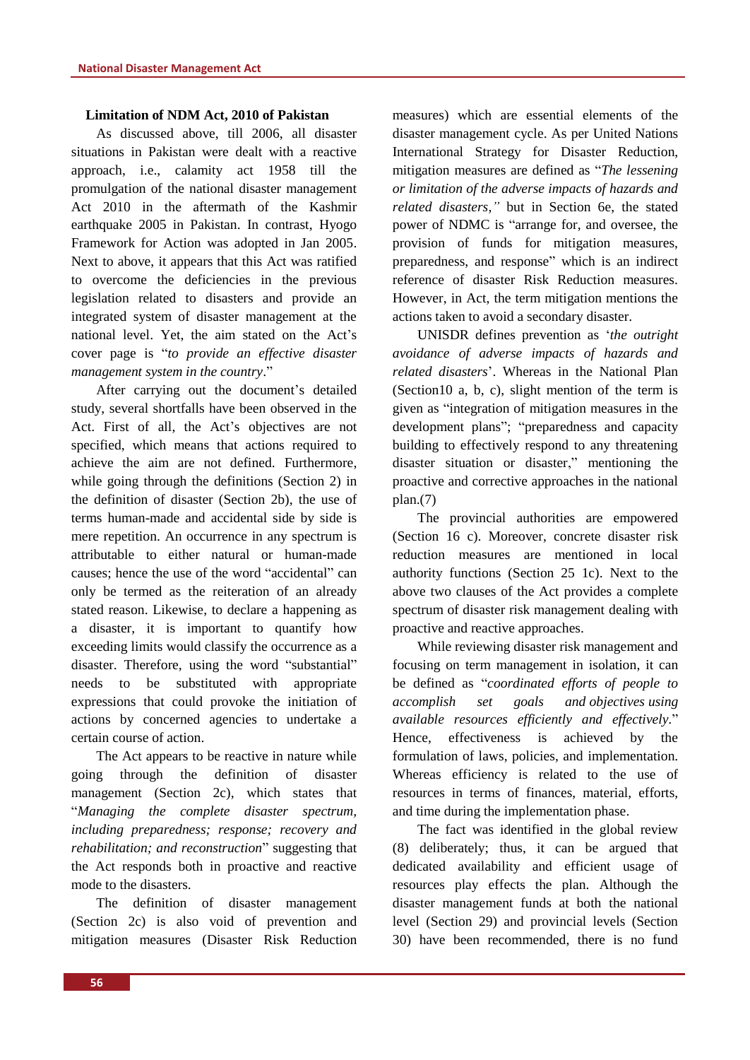## **Limitation of NDM Act, 2010 of Pakistan**

As discussed above, till 2006, all disaster situations in Pakistan were dealt with a reactive approach, i.e., calamity act 1958 till the promulgation of the national disaster management Act 2010 in the aftermath of the Kashmir earthquake 2005 in Pakistan. In contrast, Hyogo Framework for Action was adopted in Jan 2005. Next to above, it appears that this Act was ratified to overcome the deficiencies in the previous legislation related to disasters and provide an integrated system of disaster management at the national level. Yet, the aim stated on the Act's cover page is "*to provide an effective disaster management system in the country*."

After carrying out the document's detailed study, several shortfalls have been observed in the Act. First of all, the Act"s objectives are not specified, which means that actions required to achieve the aim are not defined. Furthermore, while going through the definitions (Section 2) in the definition of disaster (Section 2b), the use of terms human-made and accidental side by side is mere repetition. An occurrence in any spectrum is attributable to either natural or human-made causes; hence the use of the word "accidental" can only be termed as the reiteration of an already stated reason. Likewise, to declare a happening as a disaster, it is important to quantify how exceeding limits would classify the occurrence as a disaster. Therefore, using the word "substantial" needs to be substituted with appropriate expressions that could provoke the initiation of actions by concerned agencies to undertake a certain course of action.

The Act appears to be reactive in nature while going through the definition of disaster management (Section 2c), which states that "*Managing the complete disaster spectrum, including preparedness; response; recovery and rehabilitation; and reconstruction*" suggesting that the Act responds both in proactive and reactive mode to the disasters.

The definition of disaster management (Section 2c) is also void of prevention and mitigation measures (Disaster Risk Reduction measures) which are essential elements of the disaster management cycle. As per United Nations International Strategy for Disaster Reduction, mitigation measures are defined as "*The lessening or limitation of the adverse impacts of hazards and related disasters,"* but in Section 6e, the stated power of NDMC is "arrange for, and oversee, the provision of funds for mitigation measures, preparedness, and response" which is an indirect reference of disaster Risk Reduction measures. However, in Act, the term mitigation mentions the actions taken to avoid a secondary disaster.

UNISDR defines prevention as "*the outright avoidance of adverse impacts of hazards and related disasters*". Whereas in the National Plan (Section10 a, b, c), slight mention of the term is given as "integration of mitigation measures in the development plans"; "preparedness and capacity building to effectively respond to any threatening disaster situation or disaster," mentioning the proactive and corrective approaches in the national plan.[\(7\)](#page-7-5)

The provincial authorities are empowered (Section 16 c). Moreover, concrete disaster risk reduction measures are mentioned in local authority functions (Section 25 1c). Next to the above two clauses of the Act provides a complete spectrum of disaster risk management dealing with proactive and reactive approaches.

While reviewing disaster risk management and focusing on term management in isolation, it can be defined as "*coordinated efforts of people to accomplish set goals and [objectives](http://en.wikipedia.org/wiki/Objective_(goal)) using available resources efficiently and effectively.*" Hence, effectiveness is achieved by the formulation of laws, policies, and implementation. Whereas efficiency is related to the use of resources in terms of finances, material, efforts, and time during the implementation phase.

The fact was identified in the global review [\(8\)](#page-7-6) deliberately; thus, it can be argued that dedicated availability and efficient usage of resources play effects the plan. Although the disaster management funds at both the national level (Section 29) and provincial levels (Section 30) have been recommended, there is no fund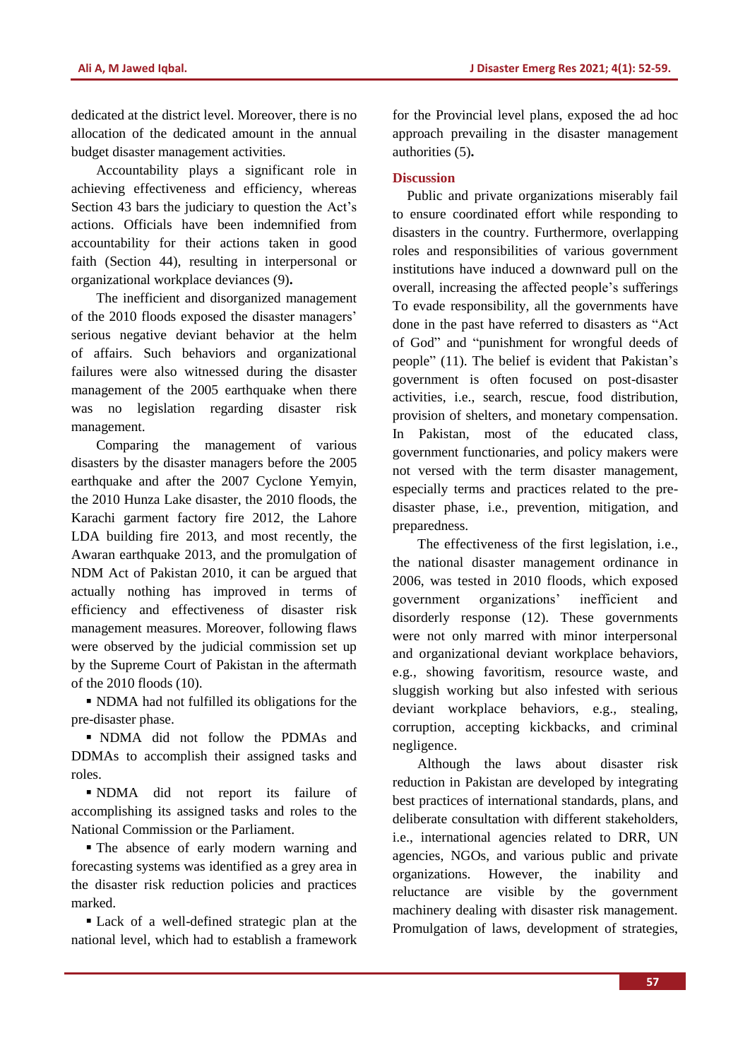dedicated at the district level. Moreover, there is no allocation of the dedicated amount in the annual budget disaster management activities.

Accountability plays a significant role in achieving effectiveness and efficiency, whereas Section 43 bars the judiciary to question the Act's actions. Officials have been indemnified from accountability for their actions taken in good faith (Section 44), resulting in interpersonal or organizational workplace deviances [\(9\)](#page-7-7)**.**

The inefficient and disorganized management of the 2010 floods exposed the disaster managers" serious negative deviant behavior at the helm of affairs. Such behaviors and organizational failures were also witnessed during the disaster management of the 2005 earthquake when there was no legislation regarding disaster risk management.

Comparing the management of various disasters by the disaster managers before the 2005 earthquake and after the 2007 Cyclone Yemyin, the 2010 Hunza Lake disaster, the 2010 floods, the Karachi garment factory fire 2012, the Lahore LDA building fire 2013, and most recently, the Awaran earthquake 2013, and the promulgation of NDM Act of Pakistan 2010, it can be argued that actually nothing has improved in terms of efficiency and effectiveness of disaster risk management measures. Moreover, following flaws were observed by the judicial commission set up by the Supreme Court of Pakistan in the aftermath of the 2010 floods [\(10\)](#page-7-8).

 NDMA had not fulfilled its obligations for the pre-disaster phase.

 NDMA did not follow the PDMAs and DDMAs to accomplish their assigned tasks and roles.

 NDMA did not report its failure of accomplishing its assigned tasks and roles to the National Commission or the Parliament.

 The absence of early modern warning and forecasting systems was identified as a grey area in the disaster risk reduction policies and practices marked.

 Lack of a well-defined strategic plan at the national level, which had to establish a framework for the Provincial level plans, exposed the ad hoc approach prevailing in the disaster management authorities [\(5\)](#page-7-3)**.**

# **Discussion**

Public and private organizations miserably fail to ensure coordinated effort while responding to disasters in the country. Furthermore, overlapping roles and responsibilities of various government institutions have induced a downward pull on the overall, increasing the affected people"s sufferings To evade responsibility, all the governments have done in the past have referred to disasters as "Act of God" and "punishment for wrongful deeds of people" [\(11\)](#page-7-9). The belief is evident that Pakistan"s government is often focused on post-disaster activities, i.e., search, rescue, food distribution, provision of shelters, and monetary compensation. In Pakistan, most of the educated class, government functionaries, and policy makers were not versed with the term disaster management, especially terms and practices related to the predisaster phase, i.e., prevention, mitigation, and preparedness.

The effectiveness of the first legislation, i.e., the national disaster management ordinance in 2006, was tested in 2010 floods, which exposed government organizations" inefficient and disorderly response [\(12\)](#page-7-10). These governments were not only marred with minor interpersonal and organizational deviant workplace behaviors, e.g., showing favoritism, resource waste, and sluggish working but also infested with serious deviant workplace behaviors, e.g., stealing, corruption, accepting kickbacks, and criminal negligence.

Although the laws about disaster risk reduction in Pakistan are developed by integrating best practices of international standards, plans, and deliberate consultation with different stakeholders, i.e., international agencies related to DRR, UN agencies, NGOs, and various public and private organizations. However, the inability and reluctance are visible by the government machinery dealing with disaster risk management. Promulgation of laws, development of strategies,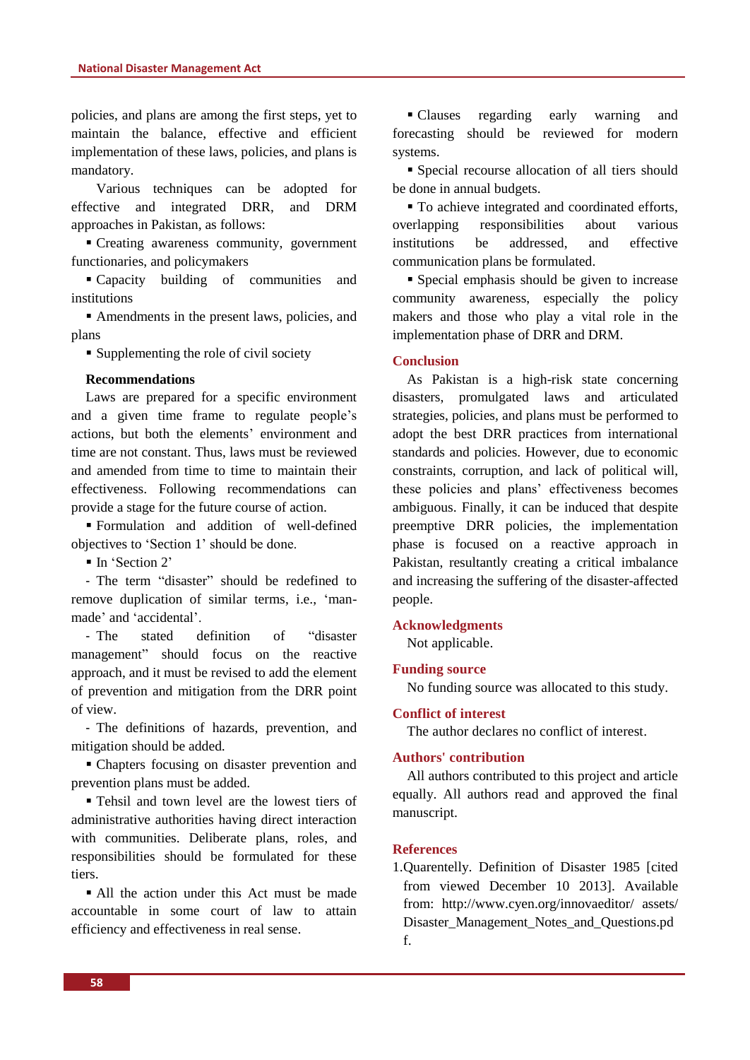policies, and plans are among the first steps, yet to maintain the balance, effective and efficient implementation of these laws, policies, and plans is mandatory.

Various techniques can be adopted for effective and integrated DRR, and DRM approaches in Pakistan, as follows:

 Creating awareness community, government functionaries, and policymakers

 Capacity building of communities and institutions

 Amendments in the present laws, policies, and plans

Supplementing the role of civil society

## **Recommendations**

Laws are prepared for a specific environment and a given time frame to regulate people"s actions, but both the elements' environment and time are not constant. Thus, laws must be reviewed and amended from time to time to maintain their effectiveness. Following recommendations can provide a stage for the future course of action.

 Formulation and addition of well-defined objectives to "Section 1" should be done.

 $\blacksquare$  In 'Section 2'

- The term "disaster" should be redefined to remove duplication of similar terms, i.e., "manmade" and "accidental".

- The stated definition of "disaster management" should focus on the reactive approach, and it must be revised to add the element of prevention and mitigation from the DRR point of view.

- The definitions of hazards, prevention, and mitigation should be added.

 Chapters focusing on disaster prevention and prevention plans must be added.

 Tehsil and town level are the lowest tiers of administrative authorities having direct interaction with communities. Deliberate plans, roles, and responsibilities should be formulated for these tiers.

All the action under this Act must be made accountable in some court of law to attain efficiency and effectiveness in real sense.

 Clauses regarding early warning and forecasting should be reviewed for modern systems.

 Special recourse allocation of all tiers should be done in annual budgets.

 $\blacksquare$  To achieve integrated and coordinated efforts, overlapping responsibilities about various institutions be addressed, and effective communication plans be formulated.

 Special emphasis should be given to increase community awareness, especially the policy makers and those who play a vital role in the implementation phase of DRR and DRM.

#### **Conclusion**

As Pakistan is a high-risk state concerning disasters, promulgated laws and articulated strategies, policies, and plans must be performed to adopt the best DRR practices from international standards and policies. However, due to economic constraints, corruption, and lack of political will, these policies and plans" effectiveness becomes ambiguous. Finally, it can be induced that despite preemptive DRR policies, the implementation phase is focused on a reactive approach in Pakistan, resultantly creating a critical imbalance and increasing the suffering of the disaster-affected people.

#### **Acknowledgments**

Not applicable.

#### **Funding source**

No funding source was allocated to this study.

#### **Conflict of interest**

The author declares no conflict of interest.

## **Authors' contribution**

All authors contributed to this project and article equally. All authors read and approved the final manuscript.

## **References**

<span id="page-6-0"></span>1.Quarentelly. Definition of Disaster 1985 [cited from viewed December 10 2013]. Available from: http://www.cyen.org/innovaeditor/ assets/ Disaster\_Management\_Notes\_and\_Questions.pd f.